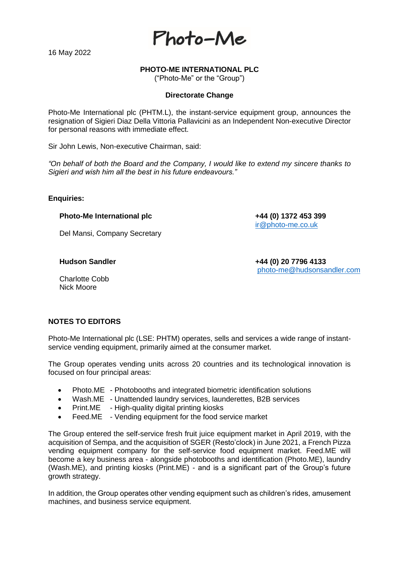16 May 2022



# **PHOTO-ME INTERNATIONAL PLC**

("Photo-Me" or the "Group")

#### **Directorate Change**

Photo-Me International plc (PHTM.L), the instant-service equipment group, announces the resignation of Sigieri Diaz Della Vittoria Pallavicini as an Independent Non-executive Director for personal reasons with immediate effect.

Sir John Lewis, Non-executive Chairman, said:

*"On behalf of both the Board and the Company, I would like to extend my sincere thanks to Sigieri and wish him all the best in his future endeavours."* 

# **Enquiries:**

### **Photo-Me International plc +44 (0) 1372 453 399**

Del Mansi, Company Secretary

**Hudson Sandler +44 (0) 20 7796 4133** [photo-me@hudsonsandler.com](mailto:photo-me@hudsonsandler.com)

[ir@photo-me.co.uk](mailto:ir@photo-me.co.uk)

Charlotte Cobb Nick Moore

# **NOTES TO EDITORS**

Photo-Me International plc (LSE: PHTM) operates, sells and services a wide range of instantservice vending equipment, primarily aimed at the consumer market.

The Group operates vending units across 20 countries and its technological innovation is focused on four principal areas:

- Photo.ME Photobooths and integrated biometric identification solutions
- Wash.ME Unattended laundry services, launderettes, B2B services
- Print.ME High-quality digital printing kiosks
- Feed.ME Vending equipment for the food service market

The Group entered the self-service fresh fruit juice equipment market in April 2019, with the acquisition of Sempa, and the acquisition of SGER (Resto'clock) in June 2021, a French Pizza vending equipment company for the self-service food equipment market. Feed.ME will become a key business area - alongside photobooths and identification (Photo.ME), laundry (Wash.ME), and printing kiosks (Print.ME) - and is a significant part of the Group's future growth strategy.

In addition, the Group operates other vending equipment such as children's rides, amusement machines, and business service equipment.